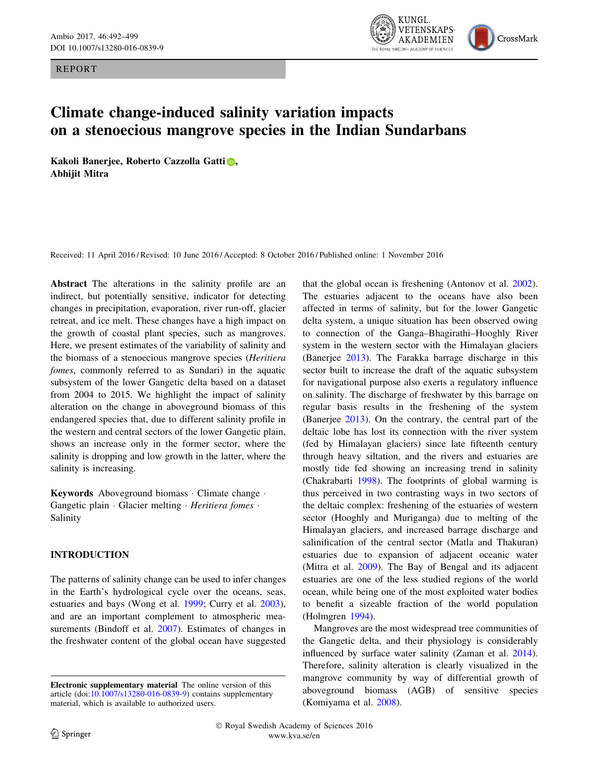REPORT



# Climate change-induced salinity variation impacts on a stenoecious mangrove species in the Indian Sundarbans

Kakoli Banerjee, Roberto Cazzolla Gatti ... Abhijit Mitra

Received: 11 April 2016 / Revised: 10 June 2016 / Accepted: 8 October 2016 / Published online: 1 November 2016

Abstract The alterations in the salinity profile are an indirect, but potentially sensitive, indicator for detecting changes in precipitation, evaporation, river run-off, glacier retreat, and ice melt. These changes have a high impact on the growth of coastal plant species, such as mangroves. Here, we present estimates of the variability of salinity and the biomass of a stenoecious mangrove species (Heritiera fomes, commonly referred to as Sundari) in the aquatic subsystem of the lower Gangetic delta based on a dataset from 2004 to 2015. We highlight the impact of salinity alteration on the change in aboveground biomass of this endangered species that, due to different salinity profile in the western and central sectors of the lower Gangetic plain, shows an increase only in the former sector, where the salinity is dropping and low growth in the latter, where the salinity is increasing.

Keywords Aboveground biomass · Climate change · Gangetic plain · Glacier melting · Heritiera fomes · Salinity

## INTRODUCTION

The patterns of salinity change can be used to infer changes in the Earth's hydrological cycle over the oceans, seas, estuaries and bays (Wong et al. [1999;](#page-7-0) Curry et al. [2003](#page-6-0)), and are an important complement to atmospheric measurements (Bindoff et al. [2007](#page-6-0)). Estimates of changes in the freshwater content of the global ocean have suggested that the global ocean is freshening (Antonov et al. [2002](#page-6-0)). The estuaries adjacent to the oceans have also been affected in terms of salinity, but for the lower Gangetic delta system, a unique situation has been observed owing to connection of the Ganga–Bhagirathi–Hooghly River system in the western sector with the Himalayan glaciers (Banerjee [2013](#page-6-0)). The Farakka barrage discharge in this sector built to increase the draft of the aquatic subsystem for navigational purpose also exerts a regulatory influence on salinity. The discharge of freshwater by this barrage on regular basis results in the freshening of the system (Banerjee [2013](#page-6-0)). On the contrary, the central part of the deltaic lobe has lost its connection with the river system (fed by Himalayan glaciers) since late fifteenth century through heavy siltation, and the rivers and estuaries are mostly tide fed showing an increasing trend in salinity (Chakrabarti [1998](#page-6-0)). The footprints of global warming is thus perceived in two contrasting ways in two sectors of the deltaic complex: freshening of the estuaries of western sector (Hooghly and Muriganga) due to melting of the Himalayan glaciers, and increased barrage discharge and salinification of the central sector (Matla and Thakuran) estuaries due to expansion of adjacent oceanic water (Mitra et al. [2009\)](#page-6-0). The Bay of Bengal and its adjacent estuaries are one of the less studied regions of the world ocean, while being one of the most exploited water bodies to benefit a sizeable fraction of the world population (Holmgren [1994\)](#page-6-0).

Mangroves are the most widespread tree communities of the Gangetic delta, and their physiology is considerably influenced by surface water salinity (Zaman et al. [2014](#page-7-0)). Therefore, salinity alteration is clearly visualized in the mangrove community by way of differential growth of aboveground biomass (AGB) of sensitive species (Komiyama et al. [2008\)](#page-6-0).

Electronic supplementary material The online version of this article (doi:[10.1007/s13280-016-0839-9\)](http://dx.doi.org/10.1007/s13280-016-0839-9) contains supplementary material, which is available to authorized users.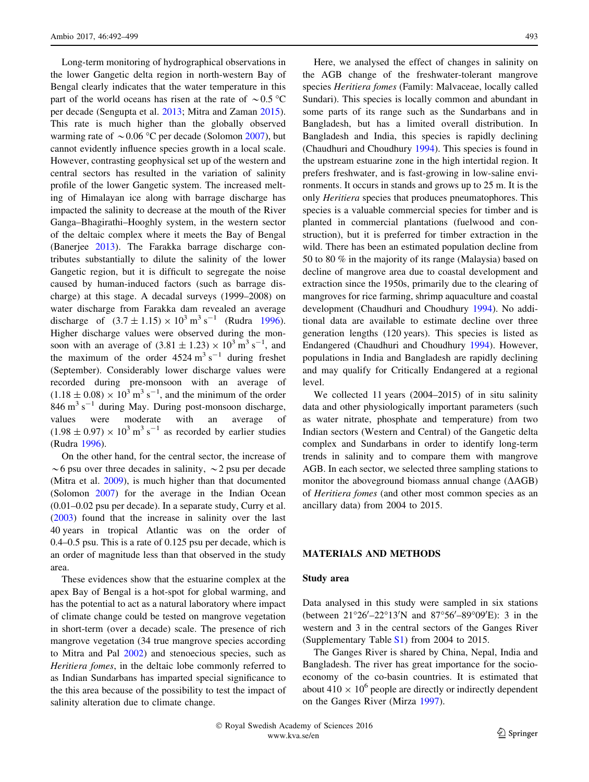Long-term monitoring of hydrographical observations in the lower Gangetic delta region in north-western Bay of Bengal clearly indicates that the water temperature in this part of the world oceans has risen at the rate of  $\sim 0.5$  °C per decade (Sengupta et al. [2013](#page-7-0); Mitra and Zaman [2015](#page-6-0)). This rate is much higher than the globally observed warming rate of  $\sim 0.06$  °C per decade (Solomon [2007](#page-7-0)), but cannot evidently influence species growth in a local scale. However, contrasting geophysical set up of the western and central sectors has resulted in the variation of salinity profile of the lower Gangetic system. The increased melting of Himalayan ice along with barrage discharge has impacted the salinity to decrease at the mouth of the River Ganga–Bhagirathi–Hooghly system, in the western sector of the deltaic complex where it meets the Bay of Bengal (Banerjee [2013\)](#page-6-0). The Farakka barrage discharge contributes substantially to dilute the salinity of the lower Gangetic region, but it is difficult to segregate the noise caused by human-induced factors (such as barrage discharge) at this stage. A decadal surveys (1999–2008) on water discharge from Farakka dam revealed an average discharge of  $(3.7 \pm 1.15) \times 10^3 \,\text{m}^3 \,\text{s}^{-1}$  (Rudra [1996](#page-6-0)). Higher discharge values were observed during the monsoon with an average of  $(3.81 \pm 1.23) \times 10^3 \,\text{m}^3 \,\text{s}^{-1}$ , and the maximum of the order  $4524 \text{ m}^3 \text{ s}^{-1}$  during freshet (September). Considerably lower discharge values were recorded during pre-monsoon with an average of  $(1.18 \pm 0.08) \times 10^3$  m<sup>3</sup> s<sup>-1</sup>, and the minimum of the order  $846 \text{ m}^3 \text{ s}^{-1}$  during May. During post-monsoon discharge, values were moderate with an average of  $(1.98 \pm 0.97) \times 10^3$  m<sup>3</sup> s<sup>-1</sup> as recorded by earlier studies (Rudra [1996](#page-6-0)).

On the other hand, for the central sector, the increase of  $\sim$  6 psu over three decades in salinity,  $\sim$  2 psu per decade (Mitra et al. [2009\)](#page-6-0), is much higher than that documented (Solomon [2007\)](#page-7-0) for the average in the Indian Ocean (0.01–0.02 psu per decade). In a separate study, Curry et al. [\(2003](#page-6-0)) found that the increase in salinity over the last 40 years in tropical Atlantic was on the order of 0.4–0.5 psu. This is a rate of 0.125 psu per decade, which is an order of magnitude less than that observed in the study area.

These evidences show that the estuarine complex at the apex Bay of Bengal is a hot-spot for global warming, and has the potential to act as a natural laboratory where impact of climate change could be tested on mangrove vegetation in short-term (over a decade) scale. The presence of rich mangrove vegetation (34 true mangrove species according to Mitra and Pal [2002](#page-6-0)) and stenoecious species, such as Heritiera fomes, in the deltaic lobe commonly referred to as Indian Sundarbans has imparted special significance to the this area because of the possibility to test the impact of salinity alteration due to climate change.

Here, we analysed the effect of changes in salinity on the AGB change of the freshwater-tolerant mangrove species Heritiera fomes (Family: Malvaceae, locally called Sundari). This species is locally common and abundant in some parts of its range such as the Sundarbans and in Bangladesh, but has a limited overall distribution. In Bangladesh and India, this species is rapidly declining (Chaudhuri and Choudhury [1994\)](#page-6-0). This species is found in the upstream estuarine zone in the high intertidal region. It prefers freshwater, and is fast-growing in low-saline environments. It occurs in stands and grows up to 25 m. It is the only Heritiera species that produces pneumatophores. This species is a valuable commercial species for timber and is planted in commercial plantations (fuelwood and construction), but it is preferred for timber extraction in the wild. There has been an estimated population decline from 50 to 80 % in the majority of its range (Malaysia) based on decline of mangrove area due to coastal development and extraction since the 1950s, primarily due to the clearing of mangroves for rice farming, shrimp aquaculture and coastal development (Chaudhuri and Choudhury [1994](#page-6-0)). No additional data are available to estimate decline over three generation lengths (120 years). This species is listed as Endangered (Chaudhuri and Choudhury [1994](#page-6-0)). However, populations in India and Bangladesh are rapidly declining and may qualify for Critically Endangered at a regional level.

We collected 11 years (2004–2015) of in situ salinity data and other physiologically important parameters (such as water nitrate, phosphate and temperature) from two Indian sectors (Western and Central) of the Gangetic delta complex and Sundarbans in order to identify long-term trends in salinity and to compare them with mangrove AGB. In each sector, we selected three sampling stations to monitor the aboveground biomass annual change  $(\Delta AGB)$ of Heritiera fomes (and other most common species as an ancillary data) from 2004 to 2015.

## MATERIALS AND METHODS

#### Study area

Data analysed in this study were sampled in six stations (between 21°26'-22°13'N and 87°56'-89°09'E): 3 in the western and 3 in the central sectors of the Ganges River (Supplementary Table [S1](http://dx.doi.org/10.1007/s13280-016-0839-9)) from 2004 to 2015.

The Ganges River is shared by China, Nepal, India and Bangladesh. The river has great importance for the socioeconomy of the co-basin countries. It is estimated that about 410  $\times$  10<sup>6</sup> people are directly or indirectly dependent on the Ganges River (Mirza [1997](#page-6-0)).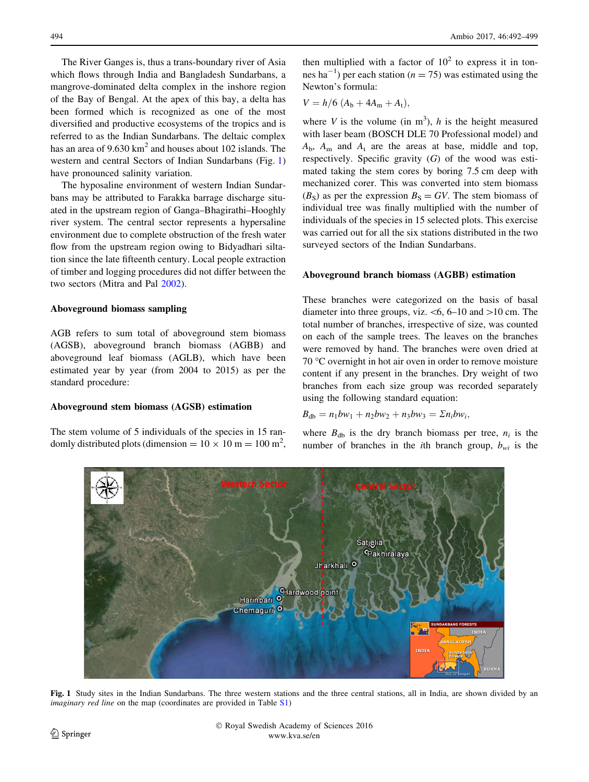The River Ganges is, thus a trans-boundary river of Asia which flows through India and Bangladesh Sundarbans, a mangrove-dominated delta complex in the inshore region of the Bay of Bengal. At the apex of this bay, a delta has been formed which is recognized as one of the most diversified and productive ecosystems of the tropics and is referred to as the Indian Sundarbans. The deltaic complex has an area of 9.630  $km^2$  and houses about 102 islands. The western and central Sectors of Indian Sundarbans (Fig. 1) have pronounced salinity variation.

The hyposaline environment of western Indian Sundarbans may be attributed to Farakka barrage discharge situated in the upstream region of Ganga–Bhagirathi–Hooghly river system. The central sector represents a hypersaline environment due to complete obstruction of the fresh water flow from the upstream region owing to Bidyadhari siltation since the late fifteenth century. Local people extraction of timber and logging procedures did not differ between the two sectors (Mitra and Pal [2002](#page-6-0)).

#### Aboveground biomass sampling

AGB refers to sum total of aboveground stem biomass (AGSB), aboveground branch biomass (AGBB) and aboveground leaf biomass (AGLB), which have been estimated year by year (from 2004 to 2015) as per the standard procedure:

#### Aboveground stem biomass (AGSB) estimation

The stem volume of 5 individuals of the species in 15 randomly distributed plots (dimension =  $10 \times 10$  m =  $100$  m<sup>2</sup>,

then multiplied with a factor of  $10<sup>2</sup>$  to express it in tonnes ha<sup>-1</sup>) per each station ( $n = 75$ ) was estimated using the Newton's formula:

$$
V = h/6 (A_{b} + 4A_{m} + A_{t}),
$$

where V is the volume (in  $m<sup>3</sup>$ ), h is the height measured with laser beam (BOSCH DLE 70 Professional model) and  $A_{\rm b}$ ,  $A_{\rm m}$  and  $A_{\rm t}$  are the areas at base, middle and top, respectively. Specific gravity  $(G)$  of the wood was estimated taking the stem cores by boring 7.5 cm deep with mechanized corer. This was converted into stem biomass  $(B<sub>S</sub>)$  as per the expression  $B<sub>S</sub> = GV$ . The stem biomass of individual tree was finally multiplied with the number of individuals of the species in 15 selected plots. This exercise was carried out for all the six stations distributed in the two surveyed sectors of the Indian Sundarbans.

#### Aboveground branch biomass (AGBB) estimation

These branches were categorized on the basis of basal diameter into three groups, viz.  $\lt 6$ , 6–10 and  $>10$  cm. The total number of branches, irrespective of size, was counted on each of the sample trees. The leaves on the branches were removed by hand. The branches were oven dried at  $70^{\circ}$ C overnight in hot air oven in order to remove moisture content if any present in the branches. Dry weight of two branches from each size group was recorded separately using the following standard equation:

$$
B_{db} = n_1 b w_1 + n_2 b w_2 + n_3 b w_3 = \Sigma n_i b w_i,
$$

where  $B_{db}$  is the dry branch biomass per tree,  $n_i$  is the number of branches in the *i*th branch group,  $b_{wi}$  is the



Fig. 1 Study sites in the Indian Sundarbans. The three western stations and the three central stations, all in India, are shown divided by an *imaginary red line* on the map (coordinates are provided in Table  $S1$ )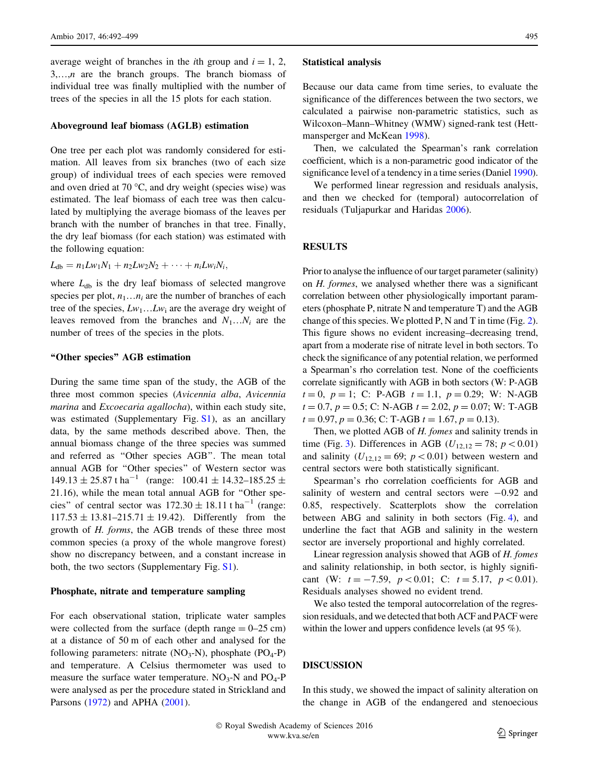average weight of branches in the *i*th group and  $i = 1, 2$ ,  $3, \ldots, n$  are the branch groups. The branch biomass of individual tree was finally multiplied with the number of trees of the species in all the 15 plots for each station.

#### Aboveground leaf biomass (AGLB) estimation

One tree per each plot was randomly considered for estimation. All leaves from six branches (two of each size group) of individual trees of each species were removed and oven dried at 70  $\degree$ C, and dry weight (species wise) was estimated. The leaf biomass of each tree was then calculated by multiplying the average biomass of the leaves per branch with the number of branches in that tree. Finally, the dry leaf biomass (for each station) was estimated with the following equation:

$$
L_{db} = n_1 L w_1 N_1 + n_2 L w_2 N_2 + \cdots + n_i L w_i N_i,
$$

where  $L_{db}$  is the dry leaf biomass of selected mangrove species per plot,  $n_1...n_i$  are the number of branches of each tree of the species,  $Lw_1...Lw_i$  are the average dry weight of leaves removed from the branches and  $N_1...N_i$  are the number of trees of the species in the plots.

## ''Other species'' AGB estimation

During the same time span of the study, the AGB of the three most common species (Avicennia alba, Avicennia marina and Excoecaria agallocha), within each study site, was estimated (Supplementary Fig. [S1](http://dx.doi.org/10.1007/s13280-016-0839-9)), as an ancillary data, by the same methods described above. Then, the annual biomass change of the three species was summed and referred as ''Other species AGB''. The mean total annual AGB for ''Other species'' of Western sector was  $149.13 \pm 25.87$  t ha<sup>-1</sup> (range:  $100.41 \pm 14.32 - 185.25 \pm 10.01$ 21.16), while the mean total annual AGB for ''Other species" of central sector was  $172.30 \pm 18.11$  t ha<sup>-1</sup> (range:  $117.53 \pm 13.81 - 215.71 \pm 19.42$ . Differently from the growth of H. forms, the AGB trends of these three most common species (a proxy of the whole mangrove forest) show no discrepancy between, and a constant increase in both, the two sectors (Supplementary Fig. [S1\)](http://dx.doi.org/10.1007/s13280-016-0839-9).

#### Phosphate, nitrate and temperature sampling

For each observational station, triplicate water samples were collected from the surface (depth range  $= 0-25$  cm) at a distance of 50 m of each other and analysed for the following parameters: nitrate  $(NO<sub>3</sub>-N)$ , phosphate  $(PO<sub>4</sub>-P)$ and temperature. A Celsius thermometer was used to measure the surface water temperature.  $NO<sub>3</sub>-N$  and  $PO<sub>4</sub>-P$ were analysed as per the procedure stated in Strickland and Parsons ([1972\)](#page-7-0) and APHA ([2001\)](#page-6-0).

#### Statistical analysis

Because our data came from time series, to evaluate the significance of the differences between the two sectors, we calculated a pairwise non-parametric statistics, such as Wilcoxon–Mann–Whitney (WMW) signed-rank test (Hettmansperger and McKean [1998](#page-6-0)).

Then, we calculated the Spearman's rank correlation coefficient, which is a non-parametric good indicator of the significance level of a tendency in a time series (Daniel [1990\)](#page-6-0).

We performed linear regression and residuals analysis, and then we checked for (temporal) autocorrelation of residuals (Tuljapurkar and Haridas [2006](#page-7-0)).

## **RESULTS**

Prior to analyse the influence of our target parameter (salinity) on H. formes, we analysed whether there was a significant correlation between other physiologically important parameters (phosphate P, nitrate N and temperature T) and the AGB change of this species. We plotted P, N and T in time (Fig. [2\)](#page-4-0). This figure shows no evident increasing–decreasing trend, apart from a moderate rise of nitrate level in both sectors. To check the significance of any potential relation, we performed a Spearman's rho correlation test. None of the coefficients correlate significantly with AGB in both sectors (W: P-AGB  $t = 0$ ,  $p = 1$ ; C: P-AGB  $t = 1.1$ ,  $p = 0.29$ ; W: N-AGB  $t = 0.7, p = 0.5; C: N-AGB$   $t = 2.02, p = 0.07; W: T-AGB$  $t = 0.97$ ,  $p = 0.36$ ; C: T-AGB  $t = 1.67$ ,  $p = 0.13$ ).

Then, we plotted AGB of H. fomes and salinity trends in time (Fig. [3](#page-4-0)). Differences in AGB ( $U_{12,12} = 78$ ;  $p < 0.01$ ) and salinity ( $U_{12,12} = 69$ ;  $p < 0.01$ ) between western and central sectors were both statistically significant.

Spearman's rho correlation coefficients for AGB and salinity of western and central sectors were  $-0.92$  and 0.85, respectively. Scatterplots show the correlation between ABG and salinity in both sectors (Fig. [4](#page-4-0)), and underline the fact that AGB and salinity in the western sector are inversely proportional and highly correlated.

Linear regression analysis showed that AGB of H. fomes and salinity relationship, in both sector, is highly significant (W:  $t = -7.59$ ,  $p < 0.01$ ; C:  $t = 5.17$ ,  $p < 0.01$ ). Residuals analyses showed no evident trend.

We also tested the temporal autocorrelation of the regression residuals, and we detected that both ACF and PACF were within the lower and uppers confidence levels (at 95 %).

## DISCUSSION

In this study, we showed the impact of salinity alteration on the change in AGB of the endangered and stenoecious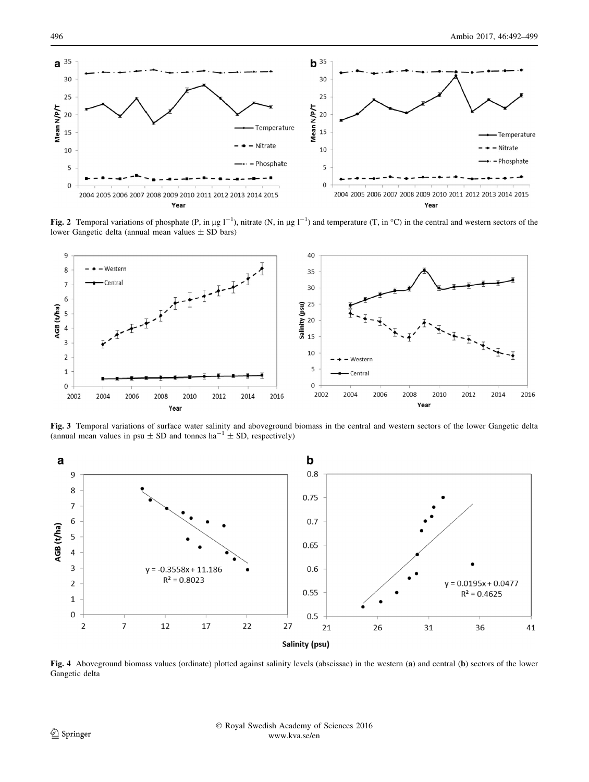<span id="page-4-0"></span>

Fig. 2 Temporal variations of phosphate (P, in  $\mu$ g l<sup>-1</sup>), nitrate (N, in  $\mu$ g l<sup>-1</sup>) and temperature (T, in °C) in the central and western sectors of the lower Gangetic delta (annual mean values ± SD bars)



Fig. 3 Temporal variations of surface water salinity and aboveground biomass in the central and western sectors of the lower Gangetic delta (annual mean values in psu  $\pm$  SD and tonnes ha<sup>-1</sup>  $\pm$  SD, respectively)



Fig. 4 Aboveground biomass values (ordinate) plotted against salinity levels (abscissae) in the western (a) and central (b) sectors of the lower Gangetic delta

#### $©$  Royal Swedish Academy of Sciences 2016 www.kva.se/en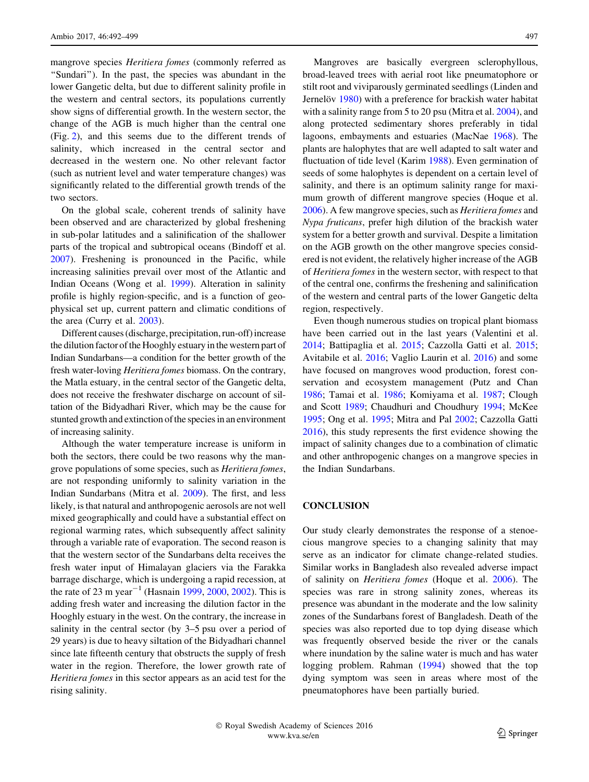mangrove species Heritiera fomes (commonly referred as "Sundari"). In the past, the species was abundant in the lower Gangetic delta, but due to different salinity profile in the western and central sectors, its populations currently show signs of differential growth. In the western sector, the change of the AGB is much higher than the central one (Fig. [2\)](#page-4-0), and this seems due to the different trends of salinity, which increased in the central sector and decreased in the western one. No other relevant factor (such as nutrient level and water temperature changes) was significantly related to the differential growth trends of the two sectors.

On the global scale, coherent trends of salinity have been observed and are characterized by global freshening in sub-polar latitudes and a salinification of the shallower parts of the tropical and subtropical oceans (Bindoff et al. [2007\)](#page-6-0). Freshening is pronounced in the Pacific, while increasing salinities prevail over most of the Atlantic and Indian Oceans (Wong et al. [1999](#page-7-0)). Alteration in salinity profile is highly region-specific, and is a function of geophysical set up, current pattern and climatic conditions of the area (Curry et al. [2003](#page-6-0)).

Different causes (discharge, precipitation, run-off) increase the dilution factor of the Hooghly estuary in the western part of Indian Sundarbans—a condition for the better growth of the fresh water-loving Heritiera fomes biomass. On the contrary, the Matla estuary, in the central sector of the Gangetic delta, does not receive the freshwater discharge on account of siltation of the Bidyadhari River, which may be the cause for stunted growth and extinction of the species in an environment of increasing salinity.

Although the water temperature increase is uniform in both the sectors, there could be two reasons why the mangrove populations of some species, such as Heritiera fomes, are not responding uniformly to salinity variation in the Indian Sundarbans (Mitra et al. [2009\)](#page-6-0). The first, and less likely, is that natural and anthropogenic aerosols are not well mixed geographically and could have a substantial effect on regional warming rates, which subsequently affect salinity through a variable rate of evaporation. The second reason is that the western sector of the Sundarbans delta receives the fresh water input of Himalayan glaciers via the Farakka barrage discharge, which is undergoing a rapid recession, at the rate of 23 m year<sup>-1</sup> (Hasnain [1999](#page-6-0), [2000](#page-6-0), [2002](#page-6-0)). This is adding fresh water and increasing the dilution factor in the Hooghly estuary in the west. On the contrary, the increase in salinity in the central sector (by 3–5 psu over a period of 29 years) is due to heavy siltation of the Bidyadhari channel since late fifteenth century that obstructs the supply of fresh water in the region. Therefore, the lower growth rate of Heritiera fomes in this sector appears as an acid test for the rising salinity.

Mangroves are basically evergreen sclerophyllous, broad-leaved trees with aerial root like pneumatophore or stilt root and viviparously germinated seedlings (Linden and Jernelöv [1980\)](#page-6-0) with a preference for brackish water habitat with a salinity range from 5 to 20 psu (Mitra et al. [2004](#page-6-0)), and along protected sedimentary shores preferably in tidal lagoons, embayments and estuaries (MacNae [1968\)](#page-6-0). The plants are halophytes that are well adapted to salt water and fluctuation of tide level (Karim [1988](#page-6-0)). Even germination of seeds of some halophytes is dependent on a certain level of salinity, and there is an optimum salinity range for maximum growth of different mangrove species (Hoque et al. [2006](#page-6-0)). A few mangrove species, such as Heritiera fomes and Nypa fruticans, prefer high dilution of the brackish water system for a better growth and survival. Despite a limitation on the AGB growth on the other mangrove species considered is not evident, the relatively higher increase of the AGB of Heritiera fomes in the western sector, with respect to that of the central one, confirms the freshening and salinification of the western and central parts of the lower Gangetic delta region, respectively.

Even though numerous studies on tropical plant biomass have been carried out in the last years (Valentini et al. [2014](#page-7-0); Battipaglia et al. [2015](#page-6-0); Cazzolla Gatti et al. [2015](#page-6-0); Avitabile et al. [2016;](#page-6-0) Vaglio Laurin et al. [2016](#page-7-0)) and some have focused on mangroves wood production, forest conservation and ecosystem management (Putz and Chan [1986](#page-6-0); Tamai et al. [1986;](#page-7-0) Komiyama et al. [1987](#page-6-0); Clough and Scott [1989;](#page-6-0) Chaudhuri and Choudhury [1994](#page-6-0); McKee [1995](#page-6-0); Ong et al. [1995](#page-6-0); Mitra and Pal [2002](#page-6-0); Cazzolla Gatti [2016](#page-6-0)), this study represents the first evidence showing the impact of salinity changes due to a combination of climatic and other anthropogenic changes on a mangrove species in the Indian Sundarbans.

## **CONCLUSION**

Our study clearly demonstrates the response of a stenoecious mangrove species to a changing salinity that may serve as an indicator for climate change-related studies. Similar works in Bangladesh also revealed adverse impact of salinity on Heritiera fomes (Hoque et al. [2006](#page-6-0)). The species was rare in strong salinity zones, whereas its presence was abundant in the moderate and the low salinity zones of the Sundarbans forest of Bangladesh. Death of the species was also reported due to top dying disease which was frequently observed beside the river or the canals where inundation by the saline water is much and has water logging problem. Rahman ([1994\)](#page-6-0) showed that the top dying symptom was seen in areas where most of the pneumatophores have been partially buried.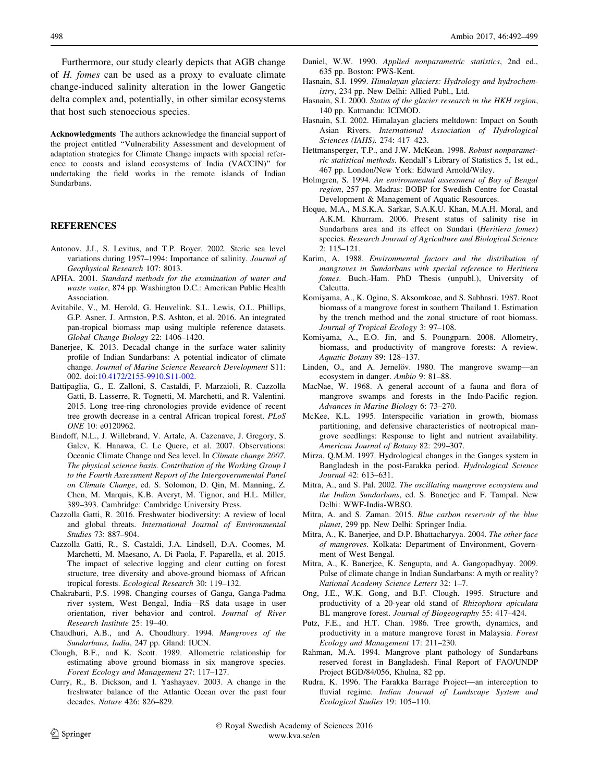<span id="page-6-0"></span>Furthermore, our study clearly depicts that AGB change of H. fomes can be used as a proxy to evaluate climate change-induced salinity alteration in the lower Gangetic delta complex and, potentially, in other similar ecosystems that host such stenoecious species.

Acknowledgments The authors acknowledge the financial support of the project entitled ''Vulnerability Assessment and development of adaptation strategies for Climate Change impacts with special reference to coasts and island ecosystems of India (VACCIN)'' for undertaking the field works in the remote islands of Indian Sundarbans.

#### REFERENCES

- Antonov, J.I., S. Levitus, and T.P. Boyer. 2002. Steric sea level variations during 1957–1994: Importance of salinity. Journal of Geophysical Research 107: 8013.
- APHA. 2001. Standard methods for the examination of water and waste water, 874 pp. Washington D.C.: American Public Health Association.
- Avitabile, V., M. Herold, G. Heuvelink, S.L. Lewis, O.L. Phillips, G.P. Asner, J. Armston, P.S. Ashton, et al. 2016. An integrated pan-tropical biomass map using multiple reference datasets. Global Change Biology 22: 1406–1420.
- Banerjee, K. 2013. Decadal change in the surface water salinity profile of Indian Sundarbans: A potential indicator of climate change. Journal of Marine Science Research Development S11: 002. doi:[10.4172/2155-9910.S11-002](http://dx.doi.org/10.4172/2155-9910.S11-002).
- Battipaglia, G., E. Zalloni, S. Castaldi, F. Marzaioli, R. Cazzolla Gatti, B. Lasserre, R. Tognetti, M. Marchetti, and R. Valentini. 2015. Long tree-ring chronologies provide evidence of recent tree growth decrease in a central African tropical forest. PLoS ONE 10: e0120962.
- Bindoff, N.L., J. Willebrand, V. Artale, A. Cazenave, J. Gregory, S. Galev, K. Hanawa, C. Le Quere, et al. 2007. Observations: Oceanic Climate Change and Sea level. In Climate change 2007. The physical science basis. Contribution of the Working Group I to the Fourth Assessment Report of the Intergovernmental Panel on Climate Change, ed. S. Solomon, D. Qin, M. Manning, Z. Chen, M. Marquis, K.B. Averyt, M. Tignor, and H.L. Miller, 389–393. Cambridge: Cambridge University Press.
- Cazzolla Gatti, R. 2016. Freshwater biodiversity: A review of local and global threats. International Journal of Environmental Studies 73: 887–904.
- Cazzolla Gatti, R., S. Castaldi, J.A. Lindsell, D.A. Coomes, M. Marchetti, M. Maesano, A. Di Paola, F. Paparella, et al. 2015. The impact of selective logging and clear cutting on forest structure, tree diversity and above-ground biomass of African tropical forests. Ecological Research 30: 119–132.
- Chakrabarti, P.S. 1998. Changing courses of Ganga, Ganga-Padma river system, West Bengal, India—RS data usage in user orientation, river behavior and control. Journal of River Research Institute 25: 19–40.
- Chaudhuri, A.B., and A. Choudhury. 1994. Mangroves of the Sundarbans, India, 247 pp. Gland: IUCN.
- Clough, B.F., and K. Scott. 1989. Allometric relationship for estimating above ground biomass in six mangrove species. Forest Ecology and Management 27: 117–127.
- Curry, R., B. Dickson, and I. Yashayaev. 2003. A change in the freshwater balance of the Atlantic Ocean over the past four decades. Nature 426: 826–829.
- Daniel, W.W. 1990. Applied nonparametric statistics, 2nd ed., 635 pp. Boston: PWS-Kent.
- Hasnain, S.I. 1999. Himalayan glaciers: Hydrology and hydrochemistry, 234 pp. New Delhi: Allied Publ., Ltd.
- Hasnain, S.I. 2000. Status of the glacier research in the HKH region, 140 pp. Katmandu: ICIMOD.
- Hasnain, S.I. 2002. Himalayan glaciers meltdown: Impact on South Asian Rivers. International Association of Hydrological Sciences (IAHS). 274: 417–423.
- Hettmansperger, T.P., and J.W. McKean. 1998. Robust nonparametric statistical methods. Kendall's Library of Statistics 5, 1st ed., 467 pp. London/New York: Edward Arnold/Wiley.
- Holmgren, S. 1994. An environmental assessment of Bay of Bengal region, 257 pp. Madras: BOBP for Swedish Centre for Coastal Development & Management of Aquatic Resources.
- Hoque, M.A., M.S.K.A. Sarkar, S.A.K.U. Khan, M.A.H. Moral, and A.K.M. Khurram. 2006. Present status of salinity rise in Sundarbans area and its effect on Sundari (Heritiera fomes) species. Research Journal of Agriculture and Biological Science 2: 115–121.
- Karim, A. 1988. Environmental factors and the distribution of mangroves in Sundarbans with special reference to Heritiera fomes. Buch.-Ham. PhD Thesis (unpubl.), University of Calcutta.
- Komiyama, A., K. Ogino, S. Aksomkoae, and S. Sabhasri. 1987. Root biomass of a mangrove forest in southern Thailand 1. Estimation by the trench method and the zonal structure of root biomass. Journal of Tropical Ecology 3: 97–108.
- Komiyama, A., E.O. Jin, and S. Poungparn. 2008. Allometry, biomass, and productivity of mangrove forests: A review. Aquatic Botany 89: 128–137.
- Linden, O., and A. Jernelöv. 1980. The mangrove swamp-an ecosystem in danger. Ambio 9: 81–88.
- MacNae, W. 1968. A general account of a fauna and flora of mangrove swamps and forests in the Indo-Pacific region. Advances in Marine Biology 6: 73–270.
- McKee, K.L. 1995. Interspecific variation in growth, biomass partitioning, and defensive characteristics of neotropical mangrove seedlings: Response to light and nutrient availability. American Journal of Botany 82: 299–307.
- Mirza, Q.M.M. 1997. Hydrological changes in the Ganges system in Bangladesh in the post-Farakka period. Hydrological Science Journal 42: 613–631.
- Mitra, A., and S. Pal. 2002. The oscillating mangrove ecosystem and the Indian Sundarbans, ed. S. Banerjee and F. Tampal. New Delhi: WWF-India-WBSO.
- Mitra, A. and S. Zaman. 2015. Blue carbon reservoir of the blue planet, 299 pp. New Delhi: Springer India.
- Mitra, A., K. Banerjee, and D.P. Bhattacharyya. 2004. The other face of mangroves. Kolkata: Department of Environment, Government of West Bengal.
- Mitra, A., K. Banerjee, K. Sengupta, and A. Gangopadhyay. 2009. Pulse of climate change in Indian Sundarbans: A myth or reality? National Academy Science Letters 32: 1–7.
- Ong, J.E., W.K. Gong, and B.F. Clough. 1995. Structure and productivity of a 20-year old stand of Rhizophora apiculata BL mangrove forest. Journal of Biogeography 55: 417–424.
- Putz, F.E., and H.T. Chan. 1986. Tree growth, dynamics, and productivity in a mature mangrove forest in Malaysia. Forest Ecology and Management 17: 211–230.
- Rahman, M.A. 1994. Mangrove plant pathology of Sundarbans reserved forest in Bangladesh. Final Report of FAO/UNDP Project BGD/84/056, Khulna, 82 pp.
- Rudra, K. 1996. The Farakka Barrage Project—an interception to fluvial regime. Indian Journal of Landscape System and Ecological Studies 19: 105–110.

 $©$  Royal Swedish Academy of Sciences 2016 www.kva.se/en